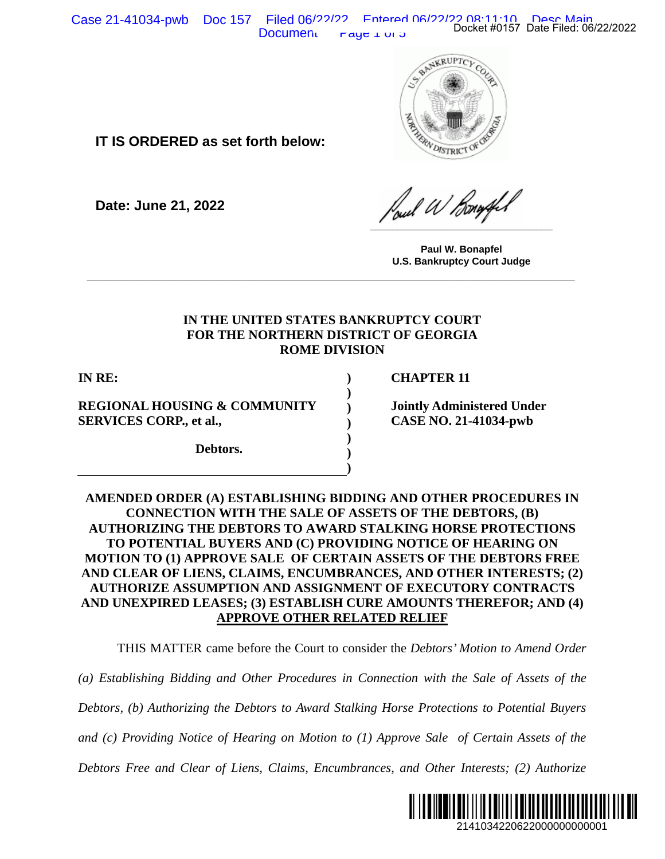Case 21-41034-pwb Doc 157 Filed 06/22/222 Entered 06/22/22 Docket #0157 Date Filed: 06/22/2022 Document  $\Gamma$  raye  $\perp$  or 5



**IT IS ORDERED as set forth below:**

**Date: June 21, 2022**

**\_\_\_\_\_\_\_\_\_\_\_\_\_\_\_\_\_\_\_\_\_\_\_\_\_\_\_\_\_\_\_\_\_**

**Paul W. Bonapfel U.S. Bankruptcy Court Judge**

## **IN THE UNITED STATES BANKRUPTCY COURT FOR THE NORTHERN DISTRICT OF GEORGIA ROME DIVISION**

**\_\_\_\_\_\_\_\_\_\_\_\_\_\_\_\_\_\_\_\_\_\_\_\_\_\_\_\_\_\_\_\_\_\_\_\_\_\_\_\_\_\_\_\_\_\_\_\_\_\_\_\_\_\_\_\_\_\_\_\_\_\_\_**

**) ) ) ) ) ) )**

**IN RE:**

**REGIONAL HOUSING & COMMUNITY SERVICES CORP., et al.,**

**Debtors.**

**CHAPTER 11**

**Jointly Administered Under CASE NO. 21-41034-pwb**

# **AMENDED ORDER (A) ESTABLISHING BIDDING AND OTHER PROCEDURES IN CONNECTION WITH THE SALE OF ASSETS OF THE DEBTORS, (B) AUTHORIZING THE DEBTORS TO AWARD STALKING HORSE PROTECTIONS TO POTENTIAL BUYERS AND (C) PROVIDING NOTICE OF HEARING ON MOTION TO (1) APPROVE SALE OF CERTAIN ASSETS OF THE DEBTORS FREE AND CLEAR OF LIENS, CLAIMS, ENCUMBRANCES, AND OTHER INTERESTS; (2) AUTHORIZE ASSUMPTION AND ASSIGNMENT OF EXECUTORY CONTRACTS AND UNEXPIRED LEASES; (3) ESTABLISH CURE AMOUNTS THEREFOR; AND (4) APPROVE OTHER RELATED RELIEF** 214103422062200000000001<br>
214103422022<br>
214103422022<br>
22141034 published Under<br>
2141034 published Under<br>
2141034 published Under<br>
2141034 published Under<br>
2141034 published ONE BERNIFER INTERESTS; (2)<br>
2141034 published ON

THIS MATTER came before the Court to consider the *Debtors' Motion to Amend Order* 

*(a) Establishing Bidding and Other Procedures in Connection with the Sale of Assets of the* 

*Debtors, (b) Authorizing the Debtors to Award Stalking Horse Protections to Potential Buyers* 

*and (c) Providing Notice of Hearing on Motion to (1) Approve Sale of Certain Assets of the* 

*Debtors Free and Clear of Liens, Claims, Encumbrances, and Other Interests; (2) Authorize* 

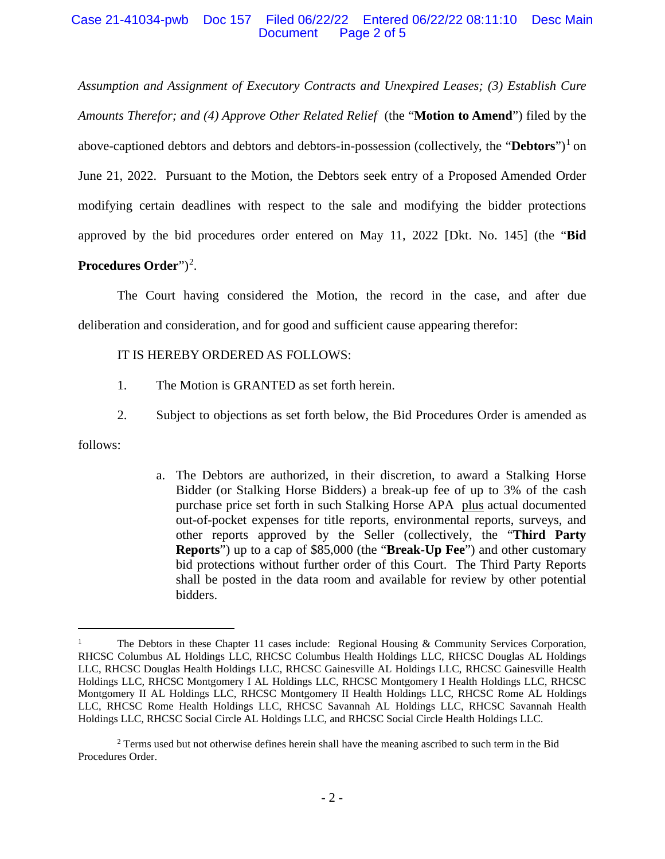## Case 21-41034-pwb Doc 157 Filed 06/22/22 Entered 06/22/22 08:11:10 Desc Main Document Page 2 of 5

*Assumption and Assignment of Executory Contracts and Unexpired Leases; (3) Establish Cure Amounts Therefor; and (4) Approve Other Related Relief* (the "**Motion to Amend**") filed by the above-captioned debtors and debtors and debtors-in-possession (collectively, the "**Debtors**")[1](#page-1-0) on June 21, 2022. Pursuant to the Motion, the Debtors seek entry of a Proposed Amended Order modifying certain deadlines with respect to the sale and modifying the bidder protections approved by the bid procedures order entered on May 11, 2022 [Dkt. No. 145] (the "**Bid Procedures Order**")<sup>[2](#page-1-1)</sup>.

The Court having considered the Motion, the record in the case, and after due deliberation and consideration, and for good and sufficient cause appearing therefor:

## IT IS HEREBY ORDERED AS FOLLOWS:

- 1. The Motion is GRANTED as set forth herein.
- 2. Subject to objections as set forth below, the Bid Procedures Order is amended as

follows:

a. The Debtors are authorized, in their discretion, to award a Stalking Horse Bidder (or Stalking Horse Bidders) a break-up fee of up to 3% of the cash purchase price set forth in such Stalking Horse APA plus actual documented out-of-pocket expenses for title reports, environmental reports, surveys, and other reports approved by the Seller (collectively, the "**Third Party Reports**") up to a cap of \$85,000 (the "**Break-Up Fee**") and other customary bid protections without further order of this Court. The Third Party Reports shall be posted in the data room and available for review by other potential bidders.

<span id="page-1-0"></span><sup>&</sup>lt;sup>1</sup> The Debtors in these Chapter 11 cases include: Regional Housing & Community Services Corporation, RHCSC Columbus AL Holdings LLC, RHCSC Columbus Health Holdings LLC, RHCSC Douglas AL Holdings LLC, RHCSC Douglas Health Holdings LLC, RHCSC Gainesville AL Holdings LLC, RHCSC Gainesville Health Holdings LLC, RHCSC Montgomery I AL Holdings LLC, RHCSC Montgomery I Health Holdings LLC, RHCSC Montgomery II AL Holdings LLC, RHCSC Montgomery II Health Holdings LLC, RHCSC Rome AL Holdings LLC, RHCSC Rome Health Holdings LLC, RHCSC Savannah AL Holdings LLC, RHCSC Savannah Health Holdings LLC, RHCSC Social Circle AL Holdings LLC, and RHCSC Social Circle Health Holdings LLC.

<span id="page-1-1"></span><sup>&</sup>lt;sup>2</sup> Terms used but not otherwise defines herein shall have the meaning ascribed to such term in the Bid Procedures Order.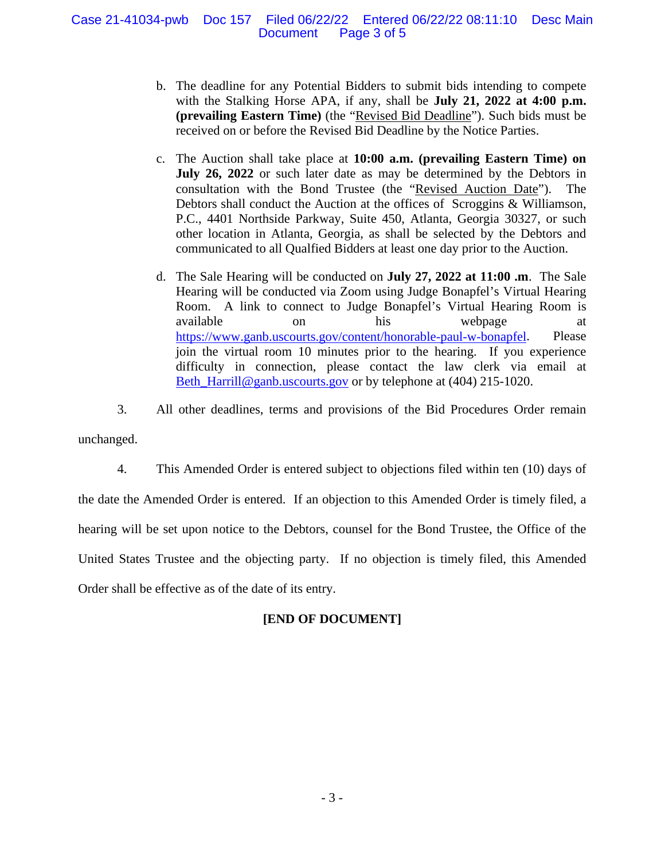## Case 21-41034-pwb Doc 157 Filed 06/22/22 Entered 06/22/22 08:11:10 Desc Main Document Page 3 of 5

- b. The deadline for any Potential Bidders to submit bids intending to compete with the Stalking Horse APA, if any, shall be **July 21, 2022 at 4:00 p.m. (prevailing Eastern Time)** (the "Revised Bid Deadline"). Such bids must be received on or before the Revised Bid Deadline by the Notice Parties.
- c. The Auction shall take place at **10:00 a.m. (prevailing Eastern Time) on July 26, 2022** or such later date as may be determined by the Debtors in consultation with the Bond Trustee (the "Revised Auction Date"). The Debtors shall conduct the Auction at the offices of Scroggins & Williamson, P.C., 4401 Northside Parkway, Suite 450, Atlanta, Georgia 30327, or such other location in Atlanta, Georgia, as shall be selected by the Debtors and communicated to all Qualfied Bidders at least one day prior to the Auction.
- d. The Sale Hearing will be conducted on **July 27, 2022 at 11:00 .m**. The Sale Hearing will be conducted via Zoom using Judge Bonapfel's Virtual Hearing Room. A link to connect to Judge Bonapfel's Virtual Hearing Room is available on his webpage at [https://www.ganb.uscourts.gov/content/honorable-paul-w-bonapfel.](https://www.ganb.uscourts.gov/content/honorable-paul-w-bonapfel) Please join the virtual room 10 minutes prior to the hearing. If you experience difficulty in connection, please contact the law clerk via email at [Beth\\_Harrill@ganb.uscourts.gov](mailto:Beth_Harrill@ganb.uscourts.gov) or by telephone at (404) 215-1020.

3. All other deadlines, terms and provisions of the Bid Procedures Order remain unchanged.

4. This Amended Order is entered subject to objections filed within ten (10) days of the date the Amended Order is entered. If an objection to this Amended Order is timely filed, a hearing will be set upon notice to the Debtors, counsel for the Bond Trustee, the Office of the United States Trustee and the objecting party. If no objection is timely filed, this Amended Order shall be effective as of the date of its entry.

# **[END OF DOCUMENT]**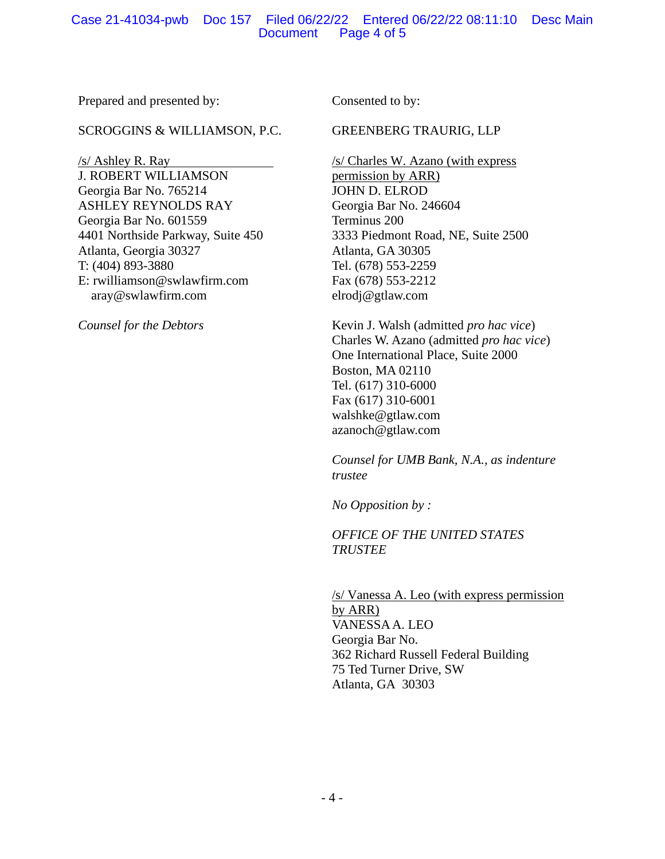## Case 21-41034-pwb Doc 157 Filed 06/22/22 Entered 06/22/22 08:11:10 Desc Main Document Page 4 of 5

Prepared and presented by:

### SCROGGINS & WILLIAMSON, P.C.

/s/ Ashley R. Ray J. ROBERT WILLIAMSON Georgia Bar No. 765214 ASHLEY REYNOLDS RAY Georgia Bar No. 601559 4401 Northside Parkway, Suite 450 Atlanta, Georgia 30327 T: (404) 893-3880 E: rwilliamson@swlawfirm.com aray@swlawfirm.com

*Counsel for the Debtors*

Consented to by:

## GREENBERG TRAURIG, LLP

/s/ Charles W. Azano (with express permission by ARR) JOHN D. ELROD Georgia Bar No. 246604 Terminus 200 3333 Piedmont Road, NE, Suite 2500 Atlanta, GA 30305 Tel. (678) 553-2259 Fax (678) 553-2212 elrodj@gtlaw.com

Kevin J. Walsh (admitted *pro hac vice*) Charles W. Azano (admitted *pro hac vice*) One International Place, Suite 2000 Boston, MA 02110 Tel. (617) 310-6000 Fax (617) 310-6001 walshke@gtlaw.com azanoch@gtlaw.com

*Counsel for UMB Bank, N.A., as indenture trustee*

*No Opposition by :*

*OFFICE OF THE UNITED STATES TRUSTEE*

/s/ Vanessa A. Leo (with express permission by ARR) VANESSA A. LEO Georgia Bar No. 362 Richard Russell Federal Building 75 Ted Turner Drive, SW Atlanta, GA 30303